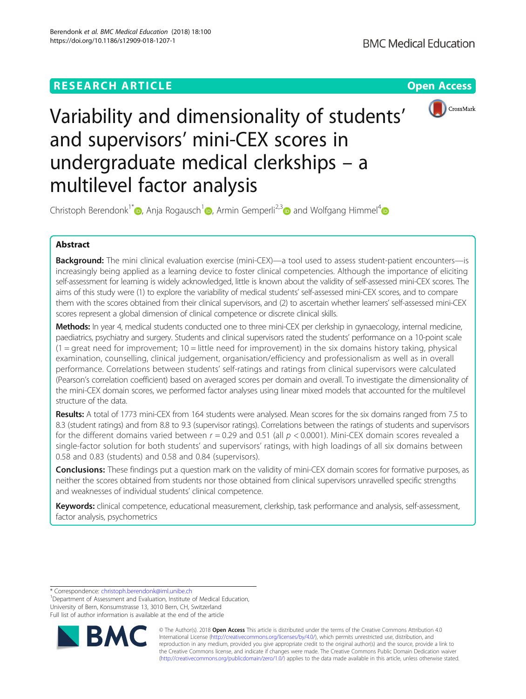# **RESEARCH ARTICLE Example 2018 CONSIDERING A RESEARCH ARTICLE**



# Variability and dimensionality of students' and supervisors' mini-CEX scores in undergraduate medical clerkships – a multilevel factor analysis

Christoph Berendonk<sup>1\*</sup> [,](http://orcid.org/0000-0002-3740-9358) Anja Rogausch<sup>1</sup> , Armin Gemperli<sup>2,3</sup> and Wolfgang Himmel<sup>4</sup>

## Abstract

Background: The mini clinical evaluation exercise (mini-CEX)—a tool used to assess student-patient encounters—is increasingly being applied as a learning device to foster clinical competencies. Although the importance of eliciting self-assessment for learning is widely acknowledged, little is known about the validity of self-assessed mini-CEX scores. The aims of this study were (1) to explore the variability of medical students' self-assessed mini-CEX scores, and to compare them with the scores obtained from their clinical supervisors, and (2) to ascertain whether learners' self-assessed mini-CEX scores represent a global dimension of clinical competence or discrete clinical skills.

Methods: In year 4, medical students conducted one to three mini-CEX per clerkship in gynaecology, internal medicine, paediatrics, psychiatry and surgery. Students and clinical supervisors rated the students' performance on a 10-point scale  $(1 =$  great need for improvement;  $10 =$  little need for improvement) in the six domains history taking, physical examination, counselling, clinical judgement, organisation/efficiency and professionalism as well as in overall performance. Correlations between students' self-ratings and ratings from clinical supervisors were calculated (Pearson's correlation coefficient) based on averaged scores per domain and overall. To investigate the dimensionality of the mini-CEX domain scores, we performed factor analyses using linear mixed models that accounted for the multilevel structure of the data.

Results: A total of 1773 mini-CEX from 164 students were analysed. Mean scores for the six domains ranged from 7.5 to 8.3 (student ratings) and from 8.8 to 9.3 (supervisor ratings). Correlations between the ratings of students and supervisors for the different domains varied between  $r = 0.29$  and 0.51 (all  $p < 0.0001$ ). Mini-CEX domain scores revealed a single-factor solution for both students' and supervisors' ratings, with high loadings of all six domains between 0.58 and 0.83 (students) and 0.58 and 0.84 (supervisors).

**Conclusions:** These findings put a question mark on the validity of mini-CEX domain scores for formative purposes, as neither the scores obtained from students nor those obtained from clinical supervisors unravelled specific strengths and weaknesses of individual students' clinical competence.

Keywords: clinical competence, educational measurement, clerkship, task performance and analysis, self-assessment, factor analysis, psychometrics

\* Correspondence: [christoph.berendonk@iml.unibe.ch](mailto:christoph.berendonk@iml.unibe.ch) <sup>1</sup>

<sup>1</sup>Department of Assessment and Evaluation, Institute of Medical Education, University of Bern, Konsumstrasse 13, 3010 Bern, CH, Switzerland Full list of author information is available at the end of the article



© The Author(s). 2018 Open Access This article is distributed under the terms of the Creative Commons Attribution 4.0 International License [\(http://creativecommons.org/licenses/by/4.0/](http://creativecommons.org/licenses/by/4.0/)), which permits unrestricted use, distribution, and reproduction in any medium, provided you give appropriate credit to the original author(s) and the source, provide a link to the Creative Commons license, and indicate if changes were made. The Creative Commons Public Domain Dedication waiver [\(http://creativecommons.org/publicdomain/zero/1.0/](http://creativecommons.org/publicdomain/zero/1.0/)) applies to the data made available in this article, unless otherwise stated.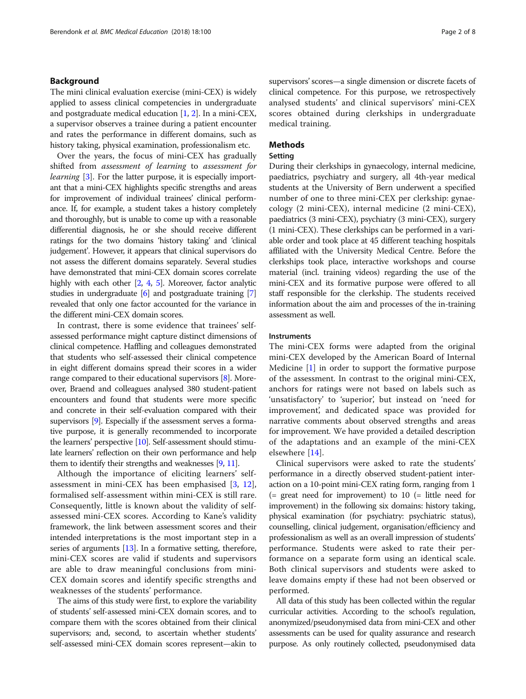#### Background

The mini clinical evaluation exercise (mini-CEX) is widely applied to assess clinical competencies in undergraduate and postgraduate medical education [\[1](#page-6-0), [2\]](#page-6-0). In a mini-CEX, a supervisor observes a trainee during a patient encounter and rates the performance in different domains, such as history taking, physical examination, professionalism etc.

Over the years, the focus of mini-CEX has gradually shifted from assessment of learning to assessment for learning [[3\]](#page-6-0). For the latter purpose, it is especially important that a mini-CEX highlights specific strengths and areas for improvement of individual trainees' clinical performance. If, for example, a student takes a history completely and thoroughly, but is unable to come up with a reasonable differential diagnosis, he or she should receive different ratings for the two domains 'history taking' and 'clinical judgement'. However, it appears that clinical supervisors do not assess the different domains separately. Several studies have demonstrated that mini-CEX domain scores correlate highly with each other [\[2,](#page-6-0) [4,](#page-6-0) [5](#page-6-0)]. Moreover, factor analytic studies in undergraduate [\[6\]](#page-6-0) and postgraduate training [[7](#page-6-0)] revealed that only one factor accounted for the variance in the different mini-CEX domain scores.

In contrast, there is some evidence that trainees' selfassessed performance might capture distinct dimensions of clinical competence. Haffling and colleagues demonstrated that students who self-assessed their clinical competence in eight different domains spread their scores in a wider range compared to their educational supervisors [[8\]](#page-6-0). Moreover, Braend and colleagues analysed 380 student-patient encounters and found that students were more specific and concrete in their self-evaluation compared with their supervisors [[9](#page-6-0)]. Especially if the assessment serves a formative purpose, it is generally recommended to incorporate the learners' perspective [\[10](#page-6-0)]. Self-assessment should stimulate learners' reflection on their own performance and help them to identify their strengths and weaknesses [[9](#page-6-0), [11](#page-6-0)].

Although the importance of eliciting learners' selfassessment in mini-CEX has been emphasised [[3,](#page-6-0) [12](#page-6-0)], formalised self-assessment within mini-CEX is still rare. Consequently, little is known about the validity of selfassessed mini-CEX scores. According to Kane's validity framework, the link between assessment scores and their intended interpretations is the most important step in a series of arguments [[13](#page-6-0)]. In a formative setting, therefore, mini-CEX scores are valid if students and supervisors are able to draw meaningful conclusions from mini-CEX domain scores and identify specific strengths and weaknesses of the students' performance.

The aims of this study were first, to explore the variability of students' self-assessed mini-CEX domain scores, and to compare them with the scores obtained from their clinical supervisors; and, second, to ascertain whether students' self-assessed mini-CEX domain scores represent—akin to supervisors' scores—a single dimension or discrete facets of clinical competence. For this purpose, we retrospectively analysed students' and clinical supervisors' mini-CEX scores obtained during clerkships in undergraduate medical training.

#### Methods

#### Setting

During their clerkships in gynaecology, internal medicine, paediatrics, psychiatry and surgery, all 4th-year medical students at the University of Bern underwent a specified number of one to three mini-CEX per clerkship: gynaecology (2 mini-CEX), internal medicine (2 mini-CEX), paediatrics (3 mini-CEX), psychiatry (3 mini-CEX), surgery (1 mini-CEX). These clerkships can be performed in a variable order and took place at 45 different teaching hospitals affiliated with the University Medical Centre. Before the clerkships took place, interactive workshops and course material (incl. training videos) regarding the use of the mini-CEX and its formative purpose were offered to all staff responsible for the clerkship. The students received information about the aim and processes of the in-training assessment as well.

#### **Instruments**

The mini-CEX forms were adapted from the original mini-CEX developed by the American Board of Internal Medicine [[1\]](#page-6-0) in order to support the formative purpose of the assessment. In contrast to the original mini-CEX, anchors for ratings were not based on labels such as 'unsatisfactory' to 'superior', but instead on 'need for improvement', and dedicated space was provided for narrative comments about observed strengths and areas for improvement. We have provided a detailed description of the adaptations and an example of the mini-CEX elsewhere [\[14\]](#page-6-0).

Clinical supervisors were asked to rate the students' performance in a directly observed student-patient interaction on a 10-point mini-CEX rating form, ranging from 1  $($  = great need for improvement) to 10  $($  = little need for improvement) in the following six domains: history taking, physical examination (for psychiatry: psychiatric status), counselling, clinical judgement, organisation/efficiency and professionalism as well as an overall impression of students' performance. Students were asked to rate their performance on a separate form using an identical scale. Both clinical supervisors and students were asked to leave domains empty if these had not been observed or performed.

All data of this study has been collected within the regular curricular activities. According to the school's regulation, anonymized/pseudonymised data from mini-CEX and other assessments can be used for quality assurance and research purpose. As only routinely collected, pseudonymised data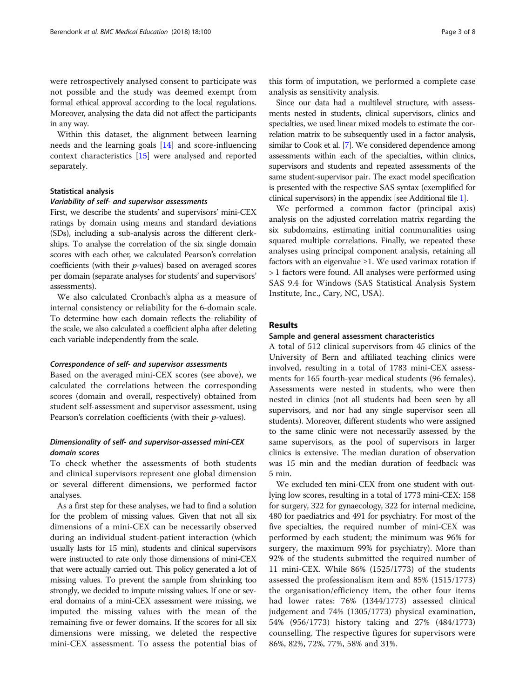were retrospectively analysed consent to participate was not possible and the study was deemed exempt from formal ethical approval according to the local regulations. Moreover, analysing the data did not affect the participants in any way.

Within this dataset, the alignment between learning needs and the learning goals [\[14](#page-6-0)] and score-influencing context characteristics [[15\]](#page-6-0) were analysed and reported separately.

#### Statistical analysis

#### Variability of self- and supervisor assessments

First, we describe the students' and supervisors' mini-CEX ratings by domain using means and standard deviations (SDs), including a sub-analysis across the different clerkships. To analyse the correlation of the six single domain scores with each other, we calculated Pearson's correlation coefficients (with their  $p$ -values) based on averaged scores per domain (separate analyses for students' and supervisors' assessments).

We also calculated Cronbach's alpha as a measure of internal consistency or reliability for the 6-domain scale. To determine how each domain reflects the reliability of the scale, we also calculated a coefficient alpha after deleting each variable independently from the scale.

#### Correspondence of self- and supervisor assessments

Based on the averaged mini-CEX scores (see above), we calculated the correlations between the corresponding scores (domain and overall, respectively) obtained from student self-assessment and supervisor assessment, using Pearson's correlation coefficients (with their p-values).

#### Dimensionality of self- and supervisor-assessed mini-CEX domain scores

To check whether the assessments of both students and clinical supervisors represent one global dimension or several different dimensions, we performed factor analyses.

As a first step for these analyses, we had to find a solution for the problem of missing values. Given that not all six dimensions of a mini-CEX can be necessarily observed during an individual student-patient interaction (which usually lasts for 15 min), students and clinical supervisors were instructed to rate only those dimensions of mini-CEX that were actually carried out. This policy generated a lot of missing values. To prevent the sample from shrinking too strongly, we decided to impute missing values. If one or several domains of a mini-CEX assessment were missing, we imputed the missing values with the mean of the remaining five or fewer domains. If the scores for all six dimensions were missing, we deleted the respective mini-CEX assessment. To assess the potential bias of

Since our data had a multilevel structure, with assessments nested in students, clinical supervisors, clinics and specialties, we used linear mixed models to estimate the correlation matrix to be subsequently used in a factor analysis, similar to Cook et al. [\[7](#page-6-0)]. We considered dependence among assessments within each of the specialties, within clinics, supervisors and students and repeated assessments of the same student-supervisor pair. The exact model specification is presented with the respective SAS syntax (exemplified for clinical supervisors) in the appendix [see Additional file [1](#page-6-0)].

We performed a common factor (principal axis) analysis on the adjusted correlation matrix regarding the six subdomains, estimating initial communalities using squared multiple correlations. Finally, we repeated these analyses using principal component analysis, retaining all factors with an eigenvalue  $\geq$ 1. We used varimax rotation if > 1 factors were found. All analyses were performed using SAS 9.4 for Windows (SAS Statistical Analysis System Institute, Inc., Cary, NC, USA).

#### **Results**

#### Sample and general assessment characteristics

A total of 512 clinical supervisors from 45 clinics of the University of Bern and affiliated teaching clinics were involved, resulting in a total of 1783 mini-CEX assessments for 165 fourth-year medical students (96 females). Assessments were nested in students, who were then nested in clinics (not all students had been seen by all supervisors, and nor had any single supervisor seen all students). Moreover, different students who were assigned to the same clinic were not necessarily assessed by the same supervisors, as the pool of supervisors in larger clinics is extensive. The median duration of observation was 15 min and the median duration of feedback was 5 min.

We excluded ten mini-CEX from one student with outlying low scores, resulting in a total of 1773 mini-CEX: 158 for surgery, 322 for gynaecology, 322 for internal medicine, 480 for paediatrics and 491 for psychiatry. For most of the five specialties, the required number of mini-CEX was performed by each student; the minimum was 96% for surgery, the maximum 99% for psychiatry). More than 92% of the students submitted the required number of 11 mini-CEX. While 86% (1525/1773) of the students assessed the professionalism item and 85% (1515/1773) the organisation/efficiency item, the other four items had lower rates: 76% (1344/1773) assessed clinical judgement and 74% (1305/1773) physical examination, 54% (956/1773) history taking and 27% (484/1773) counselling. The respective figures for supervisors were 86%, 82%, 72%, 77%, 58% and 31%.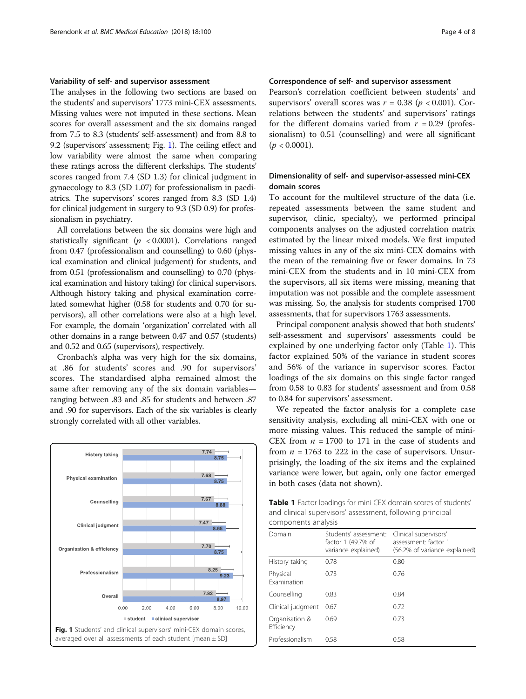#### Variability of self- and supervisor assessment

The analyses in the following two sections are based on the students' and supervisors' 1773 mini-CEX assessments. Missing values were not imputed in these sections. Mean scores for overall assessment and the six domains ranged from 7.5 to 8.3 (students' self-assessment) and from 8.8 to 9.2 (supervisors' assessment; Fig. 1). The ceiling effect and low variability were almost the same when comparing these ratings across the different clerkships. The students' scores ranged from 7.4 (SD 1.3) for clinical judgment in gynaecology to 8.3 (SD 1.07) for professionalism in paediatrics. The supervisors' scores ranged from 8.3 (SD 1.4) for clinical judgement in surgery to 9.3 (SD 0.9) for professionalism in psychiatry.

All correlations between the six domains were high and statistically significant ( $p < 0.0001$ ). Correlations ranged from 0.47 (professionalism and counselling) to 0.60 (physical examination and clinical judgement) for students, and from 0.51 (professionalism and counselling) to 0.70 (physical examination and history taking) for clinical supervisors. Although history taking and physical examination correlated somewhat higher (0.58 for students and 0.70 for supervisors), all other correlations were also at a high level. For example, the domain 'organization' correlated with all other domains in a range between 0.47 and 0.57 (students) and 0.52 and 0.65 (supervisors), respectively.

Cronbach's alpha was very high for the six domains, at .86 for students' scores and .90 for supervisors' scores. The standardised alpha remained almost the same after removing any of the six domain variables ranging between .83 and .85 for students and between .87 and .90 for supervisors. Each of the six variables is clearly strongly correlated with all other variables.



#### Correspondence of self- and supervisor assessment

Pearson's correlation coefficient between students' and supervisors' overall scores was  $r = 0.38$  ( $p < 0.001$ ). Correlations between the students' and supervisors' ratings for the different domains varied from  $r = 0.29$  (professionalism) to 0.51 (counselling) and were all significant  $(p < 0.0001)$ .

#### Dimensionality of self- and supervisor-assessed mini-CEX domain scores

To account for the multilevel structure of the data (i.e. repeated assessments between the same student and supervisor, clinic, specialty), we performed principal components analyses on the adjusted correlation matrix estimated by the linear mixed models. We first imputed missing values in any of the six mini-CEX domains with the mean of the remaining five or fewer domains. In 73 mini-CEX from the students and in 10 mini-CEX from the supervisors, all six items were missing, meaning that imputation was not possible and the complete assessment was missing. So, the analysis for students comprised 1700 assessments, that for supervisors 1763 assessments.

Principal component analysis showed that both students' self-assessment and supervisors' assessments could be explained by one underlying factor only (Table 1). This factor explained 50% of the variance in student scores and 56% of the variance in supervisor scores. Factor loadings of the six domains on this single factor ranged from 0.58 to 0.83 for students' assessment and from 0.58 to 0.84 for supervisors' assessment.

We repeated the factor analysis for a complete case sensitivity analysis, excluding all mini-CEX with one or more missing values. This reduced the sample of mini-CEX from  $n = 1700$  to 171 in the case of students and from  $n = 1763$  to 222 in the case of supervisors. Unsurprisingly, the loading of the six items and the explained variance were lower, but again, only one factor emerged in both cases (data not shown).

Table 1 Factor loadings for mini-CEX domain scores of students' and clinical supervisors' assessment, following principal components analysis

| Domain                         | Students' assessment:<br>factor 1 (49.7% of<br>variance explained) | Clinical supervisors'<br>assessment: factor 1<br>(56.2% of variance explained) |
|--------------------------------|--------------------------------------------------------------------|--------------------------------------------------------------------------------|
| History taking                 | 0.78                                                               | 0.80                                                                           |
| Physical<br><b>Examination</b> | 0.73                                                               | 0.76                                                                           |
| Counselling                    | 0.83                                                               | 0.84                                                                           |
| Clinical judgment              | 0.67                                                               | 0.72                                                                           |
| Organisation &<br>Efficiency   | 0.69                                                               | 0.73                                                                           |
| Professionalism                | 0.58                                                               | 0.58                                                                           |
|                                |                                                                    |                                                                                |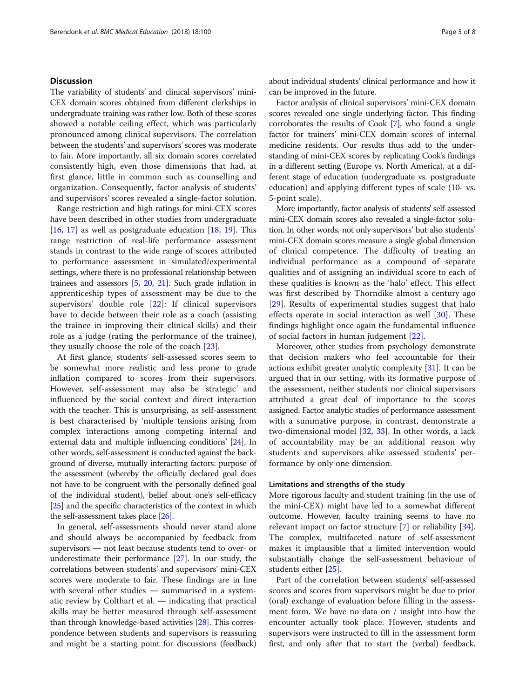#### **Discussion**

The variability of students' and clinical supervisors' mini-CEX domain scores obtained from different clerkships in undergraduate training was rather low. Both of these scores showed a notable ceiling effect, which was particularly pronounced among clinical supervisors. The correlation between the students' and supervisors'scores was moderate to fair. More importantly, all six domain scores correlated consistently high, even those dimensions that had, at first glance, little in common such as counselling and organization. Consequently, factor analysis of students' and supervisors' scores revealed a single-factor solution.

Range restriction and high ratings for mini-CEX scores have been described in other studies from undergraduate [[16,](#page-6-0) [17](#page-6-0)] as well as postgraduate education [\[18](#page-6-0), [19\]](#page-6-0). This range restriction of real-life performance assessment stands in contrast to the wide range of scores attributed to performance assessment in simulated/experimental settings, where there is no professional relationship between trainees and assessors [\[5,](#page-6-0) [20](#page-6-0), [21\]](#page-6-0). Such grade inflation in apprenticeship types of assessment may be due to the supervisors' double role [[22\]](#page-6-0): If clinical supervisors have to decide between their role as a coach (assisting the trainee in improving their clinical skills) and their role as a judge (rating the performance of the trainee), they usually choose the role of the coach [\[23](#page-6-0)].

At first glance, students' self-assessed scores seem to be somewhat more realistic and less prone to grade inflation compared to scores from their supervisors. However, self-assessment may also be 'strategic' and influenced by the social context and direct interaction with the teacher. This is unsurprising, as self-assessment is best characterised by 'multiple tensions arising from complex interactions among competing internal and external data and multiple influencing conditions' [[24](#page-6-0)]. In other words, self-assessment is conducted against the background of diverse, mutually interacting factors: purpose of the assessment (whereby the officially declared goal does not have to be congruent with the personally defined goal of the individual student), belief about one's self-efficacy [[25](#page-6-0)] and the specific characteristics of the context in which the self-assessment takes place [\[26\]](#page-6-0).

In general, self-assessments should never stand alone and should always be accompanied by feedback from supervisors ― not least because students tend to over- or underestimate their performance [\[27](#page-6-0)]. In our study, the correlations between students' and supervisors' mini-CEX scores were moderate to fair. These findings are in line with several other studies ― summarised in a systematic review by Colthart et al. ― indicating that practical skills may be better measured through self-assessment than through knowledge-based activities [\[28\]](#page-6-0). This correspondence between students and supervisors is reassuring and might be a starting point for discussions (feedback)

about individual students' clinical performance and how it can be improved in the future.

Factor analysis of clinical supervisors' mini-CEX domain scores revealed one single underlying factor. This finding corroborates the results of Cook [\[7](#page-6-0)], who found a single factor for trainers' mini-CEX domain scores of internal medicine residents. Our results thus add to the understanding of mini-CEX scores by replicating Cook's findings in a different setting (Europe vs. North America), at a different stage of education (undergraduate vs. postgraduate education) and applying different types of scale (10- vs. 5-point scale).

More importantly, factor analysis of students' self-assessed mini-CEX domain scores also revealed a single-factor solution. In other words, not only supervisors' but also students' mini-CEX domain scores measure a single global dimension of clinical competence. The difficulty of treating an individual performance as a compound of separate qualities and of assigning an individual score to each of these qualities is known as the 'halo' effect. This effect was first described by Thorndike almost a century ago [[29\]](#page-7-0). Results of experimental studies suggest that halo effects operate in social interaction as well [[30\]](#page-7-0). These findings highlight once again the fundamental influence of social factors in human judgement [\[22](#page-6-0)].

Moreover, other studies from psychology demonstrate that decision makers who feel accountable for their actions exhibit greater analytic complexity [\[31](#page-7-0)]. It can be argued that in our setting, with its formative purpose of the assessment, neither students nor clinical supervisors attributed a great deal of importance to the scores assigned. Factor analytic studies of performance assessment with a summative purpose, in contrast, demonstrate a two-dimensional model [[32](#page-7-0), [33](#page-7-0)]. In other words, a lack of accountability may be an additional reason why students and supervisors alike assessed students' performance by only one dimension.

#### Limitations and strengths of the study

More rigorous faculty and student training (in the use of the mini-CEX) might have led to a somewhat different outcome. However, faculty training seems to have no relevant impact on factor structure [[7\]](#page-6-0) or reliability [\[34](#page-7-0)]. The complex, multifaceted nature of self-assessment makes it implausible that a limited intervention would substantially change the self-assessment behaviour of students either [[25](#page-6-0)].

Part of the correlation between students' self-assessed scores and scores from supervisors might be due to prior (oral) exchange of evaluation before filling in the assessment form. We have no data on / insight into how the encounter actually took place. However, students and supervisors were instructed to fill in the assessment form first, and only after that to start the (verbal) feedback.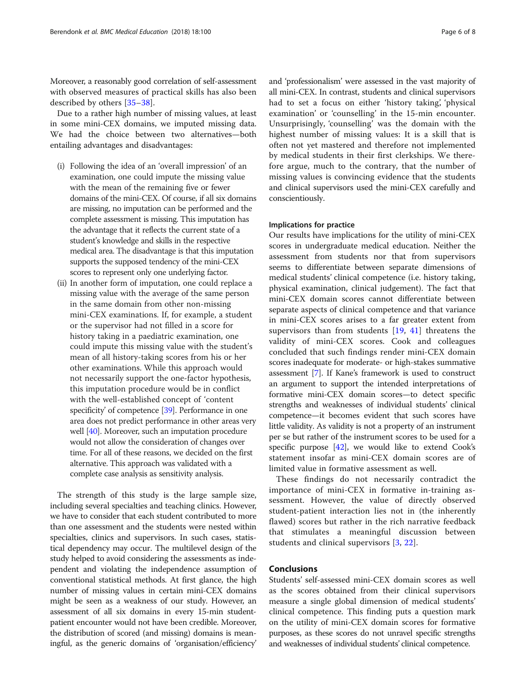Moreover, a reasonably good correlation of self-assessment with observed measures of practical skills has also been described by others [[35](#page-7-0)–[38](#page-7-0)].

Due to a rather high number of missing values, at least in some mini-CEX domains, we imputed missing data. We had the choice between two alternatives—both entailing advantages and disadvantages:

- (i) Following the idea of an 'overall impression' of an examination, one could impute the missing value with the mean of the remaining five or fewer domains of the mini-CEX. Of course, if all six domains are missing, no imputation can be performed and the complete assessment is missing. This imputation has the advantage that it reflects the current state of a student's knowledge and skills in the respective medical area. The disadvantage is that this imputation supports the supposed tendency of the mini-CEX scores to represent only one underlying factor.
- (ii) In another form of imputation, one could replace a missing value with the average of the same person in the same domain from other non-missing mini-CEX examinations. If, for example, a student or the supervisor had not filled in a score for history taking in a paediatric examination, one could impute this missing value with the student's mean of all history-taking scores from his or her other examinations. While this approach would not necessarily support the one-factor hypothesis, this imputation procedure would be in conflict with the well-established concept of 'content specificity' of competence [[39](#page-7-0)]. Performance in one area does not predict performance in other areas very well [[40](#page-7-0)]. Moreover, such an imputation procedure would not allow the consideration of changes over time. For all of these reasons, we decided on the first alternative. This approach was validated with a complete case analysis as sensitivity analysis.

The strength of this study is the large sample size, including several specialties and teaching clinics. However, we have to consider that each student contributed to more than one assessment and the students were nested within specialties, clinics and supervisors. In such cases, statistical dependency may occur. The multilevel design of the study helped to avoid considering the assessments as independent and violating the independence assumption of conventional statistical methods. At first glance, the high number of missing values in certain mini-CEX domains might be seen as a weakness of our study. However, an assessment of all six domains in every 15-min studentpatient encounter would not have been credible. Moreover, the distribution of scored (and missing) domains is meaningful, as the generic domains of 'organisation/efficiency'

and 'professionalism' were assessed in the vast majority of all mini-CEX. In contrast, students and clinical supervisors had to set a focus on either 'history taking', 'physical examination' or 'counselling' in the 15-min encounter. Unsurprisingly, 'counselling' was the domain with the highest number of missing values: It is a skill that is

often not yet mastered and therefore not implemented by medical students in their first clerkships. We therefore argue, much to the contrary, that the number of missing values is convincing evidence that the students and clinical supervisors used the mini-CEX carefully and conscientiously.

#### Implications for practice

Our results have implications for the utility of mini-CEX scores in undergraduate medical education. Neither the assessment from students nor that from supervisors seems to differentiate between separate dimensions of medical students' clinical competence (i.e. history taking, physical examination, clinical judgement). The fact that mini-CEX domain scores cannot differentiate between separate aspects of clinical competence and that variance in mini-CEX scores arises to a far greater extent from supervisors than from students  $[19, 41]$  $[19, 41]$  $[19, 41]$  $[19, 41]$  $[19, 41]$  threatens the validity of mini-CEX scores. Cook and colleagues concluded that such findings render mini-CEX domain scores inadequate for moderate- or high-stakes summative assessment [\[7\]](#page-6-0). If Kane's framework is used to construct an argument to support the intended interpretations of formative mini-CEX domain scores—to detect specific strengths and weaknesses of individual students' clinical competence—it becomes evident that such scores have little validity. As validity is not a property of an instrument per se but rather of the instrument scores to be used for a specific purpose  $[42]$ , we would like to extend Cook's statement insofar as mini-CEX domain scores are of limited value in formative assessment as well.

These findings do not necessarily contradict the importance of mini-CEX in formative in-training assessment. However, the value of directly observed student-patient interaction lies not in (the inherently flawed) scores but rather in the rich narrative feedback that stimulates a meaningful discussion between students and clinical supervisors [[3,](#page-6-0) [22](#page-6-0)].

### Conclusions

Students' self-assessed mini-CEX domain scores as well as the scores obtained from their clinical supervisors measure a single global dimension of medical students' clinical competence. This finding puts a question mark on the utility of mini-CEX domain scores for formative purposes, as these scores do not unravel specific strengths and weaknesses of individual students' clinical competence.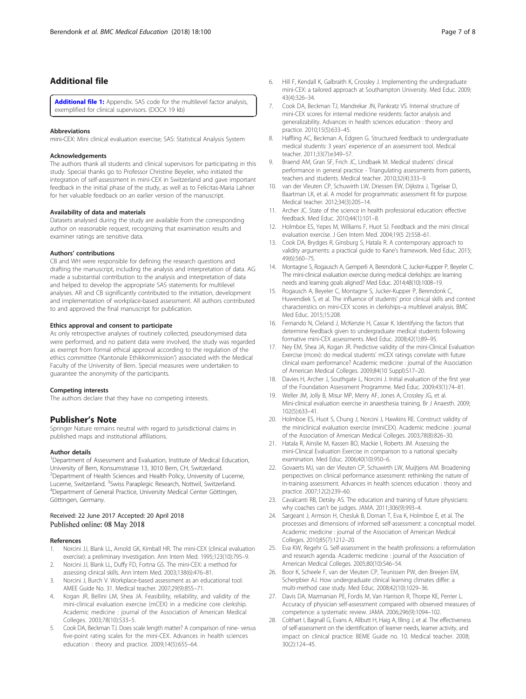#### <span id="page-6-0"></span>Additional file

[Additional file 1:](https://doi.org/10.1186/s12909-018-1207-1) Appendix. SAS code for the multilevel factor analysis, exemplified for clinical supervisors. (DOCX 19 kb)

#### Abbreviations

mini-CEX: Mini clinical evaluation exercise; SAS: Statistical Analysis System

#### Acknowledgements

The authors thank all students and clinical supervisors for participating in this study. Special thanks go to Professor Christine Beyeler, who initiated the integration of self-assessment in mini-CEX in Switzerland and gave important feedback in the initial phase of the study, as well as to Felicitas-Maria Lahner for her valuable feedback on an earlier version of the manuscript.

#### Availability of data and materials

Datasets analysed during the study are available from the corresponding author on reasonable request, recognizing that examination results and examiner ratings are sensitive data.

#### Authors' contributions

CB and WH were responsible for defining the research questions and drafting the manuscript, including the analysis and interpretation of data. AG made a substantial contribution to the analysis and interpretation of data and helped to develop the appropriate SAS statements for multilevel analyses. AR and CB significantly contributed to the initiation, development and implementation of workplace-based assessment. All authors contributed to and approved the final manuscript for publication.

#### Ethics approval and consent to participate

As only retrospective analyses of routinely collected, pseudonymised data were performed, and no patient data were involved, the study was regarded as exempt from formal ethical approval according to the regulation of the ethics committee ('Kantonale Ethikkommission') associated with the Medical Faculty of the University of Bern. Special measures were undertaken to guarantee the anonymity of the participants.

#### Competing interests

The authors declare that they have no competing interests.

#### Publisher's Note

Springer Nature remains neutral with regard to jurisdictional claims in published maps and institutional affiliations.

#### Author details

<sup>1</sup>Department of Assessment and Evaluation, Institute of Medical Education, University of Bern, Konsumstrasse 13, 3010 Bern, CH, Switzerland. <sup>2</sup>Department of Health Sciences and Health Policy, University of Lucerne, Lucerne, Switzerland. <sup>3</sup>Swiss Paraplegic Research, Nottwil, Switzerland.<br><sup>4</sup>Department of General Practice, University Medical Center Göttinger <sup>4</sup>Department of General Practice, University Medical Center Göttingen, Göttingen, Germany.

#### Received: 22 June 2017 Accepted: 20 April 2018 Published online: 08 May 2018

#### References

- 1. Norcini JJ, Blank LL, Arnold GK, Kimball HR. The mini-CEX (clinical evaluation exercise): a preliminary investigation. Ann Intern Med. 1995;123(10):795–9.
- 2. Norcini JJ, Blank LL, Duffy FD, Fortna GS. The mini-CEX: a method for assessing clinical skills. Ann Intern Med. 2003;138(6):476–81.
- 3. Norcini J, Burch V. Workplace-based assessment as an educational tool: AMEE Guide No. 31. Medical teacher. 2007;29(9):855–71.
- 4. Kogan JR, Bellini LM, Shea JA. Feasibility, reliability, and validity of the mini-clinical evaluation exercise (mCEX) in a medicine core clerkship. Academic medicine : journal of the Association of American Medical Colleges. 2003;78(10):S33–5.
- 5. Cook DA, Beckman TJ. Does scale length matter? A comparison of nine- versus five-point rating scales for the mini-CEX. Advances in health sciences education : theory and practice. 2009;14(5):655–64.
- 6. Hill F, Kendall K, Galbraith K, Crossley J. Implementing the undergraduate mini-CEX: a tailored approach at Southampton University. Med Educ. 2009; 43(4):326–34.
- 7. Cook DA, Beckman TJ, Mandrekar JN, Pankratz VS. Internal structure of mini-CEX scores for internal medicine residents: factor analysis and generalizability. Advances in health sciences education : theory and practice. 2010;15(5):633–45.
- 8. Haffling AC, Beckman A, Edgren G. Structured feedback to undergraduate medical students: 3 years' experience of an assessment tool. Medical teacher. 2011;33(7):e349–57.
- 9. Braend AM, Gran SF, Frich JC, Lindbaek M. Medical students' clinical performance in general practice - Triangulating assessments from patients, teachers and students. Medical teacher. 2010;32(4):333–9.
- 10. van der Vleuten CP, Schuwirth LW, Driessen EW, Dijkstra J, Tigelaar D, Baartman LK, et al. A model for programmatic assessment fit for purpose. Medical teacher. 2012;34(3):205–14.
- 11. Archer JC. State of the science in health professional education: effective feedback. Med Educ. 2010;44(1):101–8.
- 12. Holmboe ES, Yepes M, Williams F, Huot SJ. Feedback and the mini clinical evaluation exercise. J Gen Intern Med. 2004;19(5 2):558–61.
- 13. Cook DA, Brydges R, Ginsburg S, Hatala R. A contemporary approach to validity arguments: a practical guide to Kane's framework. Med Educ. 2015; 49(6):560–75.
- 14. Montagne S, Rogausch A, Gemperli A, Berendonk C, Jucker-Kupper P, Beyeler C. The mini-clinical evaluation exercise during medical clerkships: are learning needs and learning goals aligned? Med Educ. 2014;48(10):1008–19.
- 15. Rogausch A, Beyeler C, Montagne S, Jucker-Kupper P, Berendonk C, Huwendiek S, et al. The influence of students' prior clinical skills and context characteristics on mini-CEX scores in clerkships–a multilevel analysis. BMC Med Educ. 2015;15:208.
- 16. Fernando N, Cleland J, McKenzie H, Cassar K. Identifying the factors that determine feedback given to undergraduate medical students following formative mini-CEX assessments. Med Educ. 2008;42(1):89–95.
- 17. Ney EM, Shea JA, Kogan JR. Predictive validity of the mini-Clinical Evaluation Exercise (mcex): do medical students' mCEX ratings correlate with future clinical exam performance? Academic medicine : journal of the Association of American Medical Colleges. 2009;84(10 Suppl):S17–20.
- 18. Davies H, Archer J, Southgate L, Norcini J. Initial evaluation of the first year of the Foundation Assessment Programme. Med Educ. 2009;43(1):74–81.
- 19. Weller JM, Jolly B, Misur MP, Merry AF, Jones A, Crossley JG, et al. Mini-clinical evaluation exercise in anaesthesia training. Br J Anaesth. 2009; 102(5):633–41.
- 20. Holmboe ES, Huot S, Chung J, Norcini J, Hawkins RE. Construct validity of the miniclinical evaluation exercise (miniCEX). Academic medicine : journal of the Association of American Medical Colleges. 2003;78(8):826–30.
- 21. Hatala R, Ainslie M, Kassen BO, Mackie I, Roberts JM. Assessing the mini-Clinical Evaluation Exercise in comparison to a national specialty examination. Med Educ. 2006;40(10):950–6.
- 22. Govaerts MJ, van der Vleuten CP, Schuwirth LW, Muijtjens AM. Broadening perspectives on clinical performance assessment: rethinking the nature of in-training assessment. Advances in health sciences education : theory and practice. 2007;12(2):239–60.
- 23. Cavalcanti RB, Detsky AS. The education and training of future physicians: why coaches can't be judges. JAMA. 2011;306(9):993–4.
- 24. Sargeant J, Armson H, Chesluk B, Dornan T, Eva K, Holmboe E, et al. The processes and dimensions of informed self-assessment: a conceptual model. Academic medicine : journal of the Association of American Medical Colleges. 2010;85(7):1212–20.
- 25. Eva KW, Regehr G. Self-assessment in the health professions: a reformulation and research agenda. Academic medicine : journal of the Association of American Medical Colleges. 2005;80(10):S46–54.
- 26. Boor K, Scheele F, van der Vleuten CP, Teunissen PW, den Breejen EM, Scherpbier AJ. How undergraduate clinical learning climates differ: a multi-method case study. Med Educ. 2008;42(10):1029–36.
- 27. Davis DA, Mazmanian PE, Fordis M, Van Harrison R, Thorpe KE, Perrier L. Accuracy of physician self-assessment compared with observed measures of competence: a systematic review. JAMA. 2006;296(9):1094–102.
- 28. Colthart I, Bagnall G, Evans A, Allbutt H, Haig A, Illing J, et al. The effectiveness of self-assessment on the identification of learner needs, learner activity, and impact on clinical practice: BEME Guide no. 10. Medical teacher. 2008; 30(2):124–45.